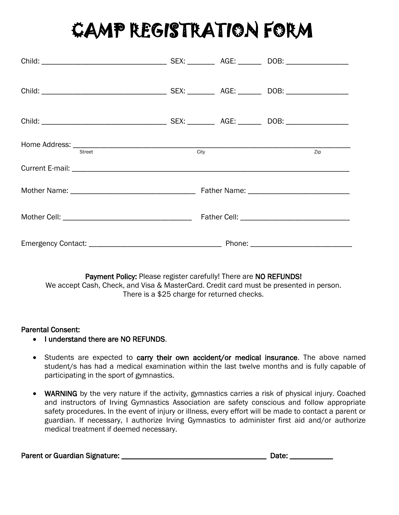## CAMP REGISTRATION FORM

| Home Address: <u>Street City City</u> |  | Zip |
|---------------------------------------|--|-----|
|                                       |  |     |
|                                       |  |     |
|                                       |  |     |
|                                       |  |     |

Payment Policy: Please register carefully! There are NO REFUNDS! We accept Cash, Check, and Visa & MasterCard. Credit card must be presented in person. There is a \$25 charge for returned checks.

## Parental Consent:

- I understand there are NO REFUNDS.
- Students are expected to carry their own accident/or medical insurance. The above named student/s has had a medical examination within the last twelve months and is fully capable of participating in the sport of gymnastics.
- WARNING by the very nature if the activity, gymnastics carries a risk of physical injury. Coached and instructors of Irving Gymnastics Association are safety conscious and follow appropriate safety procedures. In the event of injury or illness, every effort will be made to contact a parent or guardian. If necessary, I authorize Irving Gymnastics to administer first aid and/or authorize medical treatment if deemed necessary.

| <b>Parent or Guardian Signature:</b> |  | Date: |  |
|--------------------------------------|--|-------|--|
|--------------------------------------|--|-------|--|

| Date: |  |  |  |
|-------|--|--|--|
|       |  |  |  |